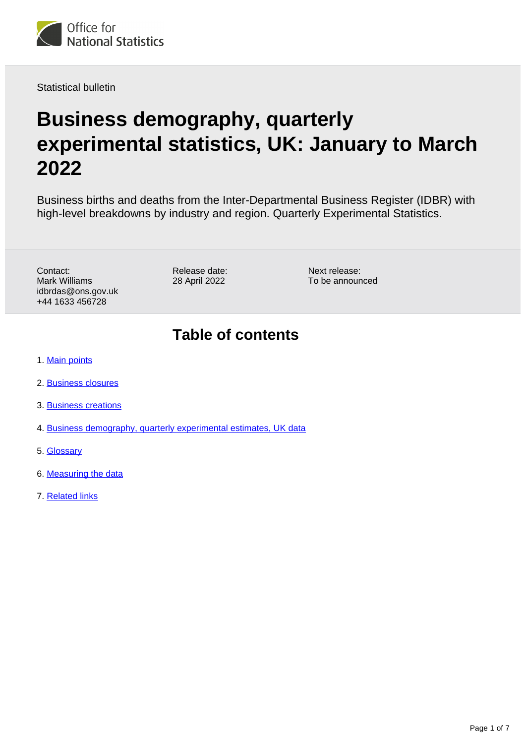

Statistical bulletin

# **Business demography, quarterly experimental statistics, UK: January to March 2022**

Business births and deaths from the Inter-Departmental Business Register (IDBR) with high-level breakdowns by industry and region. Quarterly Experimental Statistics.

Contact: Mark Williams idbrdas@ons.gov.uk +44 1633 456728

Release date: 28 April 2022

Next release: To be announced

### **Table of contents**

- 1. [Main points](#page-1-0)
- 2. [Business closures](#page-2-0)
- 3. [Business creations](#page-3-0)
- 4. [Business demography, quarterly experimental estimates, UK data](#page-4-0)
- 5. [Glossary](#page-4-1)
- 6. [Measuring the data](#page-5-0)
- 7. [Related links](#page-6-0)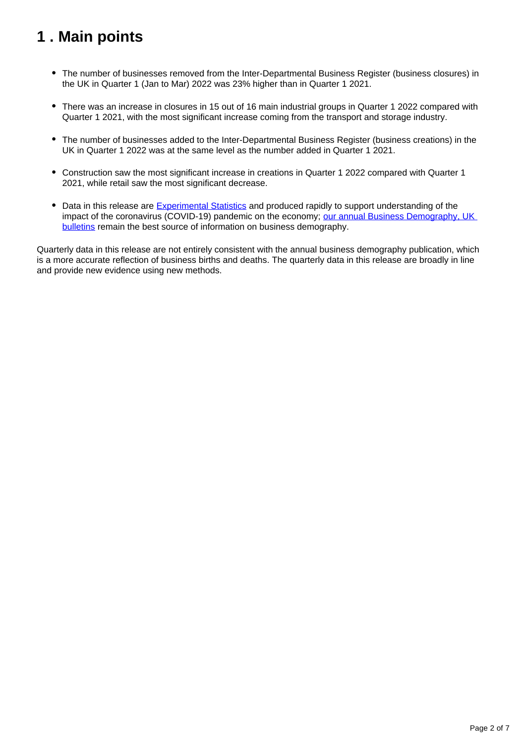## <span id="page-1-0"></span>**1 . Main points**

- The number of businesses removed from the Inter-Departmental Business Register (business closures) in the UK in Quarter 1 (Jan to Mar) 2022 was 23% higher than in Quarter 1 2021.
- There was an increase in closures in 15 out of 16 main industrial groups in Quarter 1 2022 compared with Quarter 1 2021, with the most significant increase coming from the transport and storage industry.
- The number of businesses added to the Inter-Departmental Business Register (business creations) in the UK in Quarter 1 2022 was at the same level as the number added in Quarter 1 2021.
- Construction saw the most significant increase in creations in Quarter 1 2022 compared with Quarter 1 2021, while retail saw the most significant decrease.
- Data in this release are **Experimental Statistics** and produced rapidly to support understanding of the impact of the coronavirus (COVID-19) pandemic on the economy; our annual Business Demography, UK [bulletins](https://www.ons.gov.uk/businessindustryandtrade/business/activitysizeandlocation/bulletins/businessdemography/previousReleases) remain the best source of information on business demography.

Quarterly data in this release are not entirely consistent with the annual business demography publication, which is a more accurate reflection of business births and deaths. The quarterly data in this release are broadly in line and provide new evidence using new methods.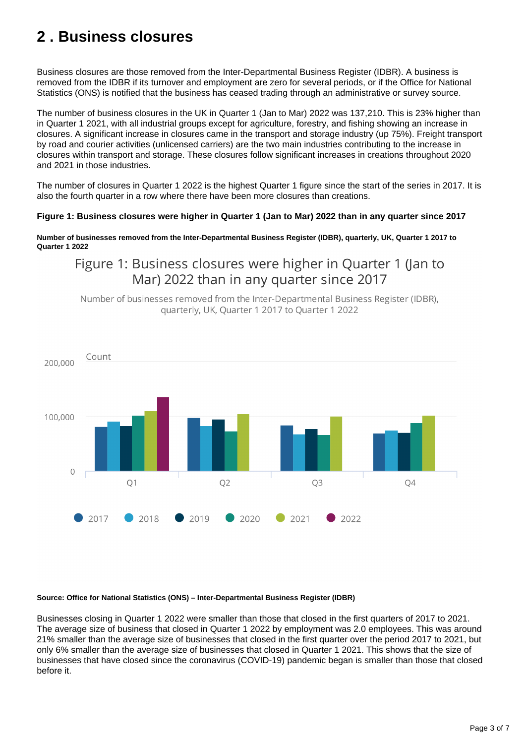## <span id="page-2-0"></span>**2 . Business closures**

Business closures are those removed from the Inter-Departmental Business Register (IDBR). A business is removed from the IDBR if its turnover and employment are zero for several periods, or if the Office for National Statistics (ONS) is notified that the business has ceased trading through an administrative or survey source.

The number of business closures in the UK in Quarter 1 (Jan to Mar) 2022 was 137,210. This is 23% higher than in Quarter 1 2021, with all industrial groups except for agriculture, forestry, and fishing showing an increase in closures. A significant increase in closures came in the transport and storage industry (up 75%). Freight transport by road and courier activities (unlicensed carriers) are the two main industries contributing to the increase in closures within transport and storage. These closures follow significant increases in creations throughout 2020 and 2021 in those industries.

The number of closures in Quarter 1 2022 is the highest Quarter 1 figure since the start of the series in 2017. It is also the fourth quarter in a row where there have been more closures than creations.

#### **Figure 1: Business closures were higher in Quarter 1 (Jan to Mar) 2022 than in any quarter since 2017**

**Number of businesses removed from the Inter-Departmental Business Register (IDBR), quarterly, UK, Quarter 1 2017 to Quarter 1 2022**

### Figure 1: Business closures were higher in Quarter 1 (Jan to Mar) 2022 than in any quarter since 2017

Number of businesses removed from the Inter-Departmental Business Register (IDBR), quarterly, UK, Quarter 1 2017 to Quarter 1 2022



#### **Source: Office for National Statistics (ONS) – Inter-Departmental Business Register (IDBR)**

Businesses closing in Quarter 1 2022 were smaller than those that closed in the first quarters of 2017 to 2021. The average size of business that closed in Quarter 1 2022 by employment was 2.0 employees. This was around 21% smaller than the average size of businesses that closed in the first quarter over the period 2017 to 2021, but only 6% smaller than the average size of businesses that closed in Quarter 1 2021. This shows that the size of businesses that have closed since the coronavirus (COVID-19) pandemic began is smaller than those that closed before it.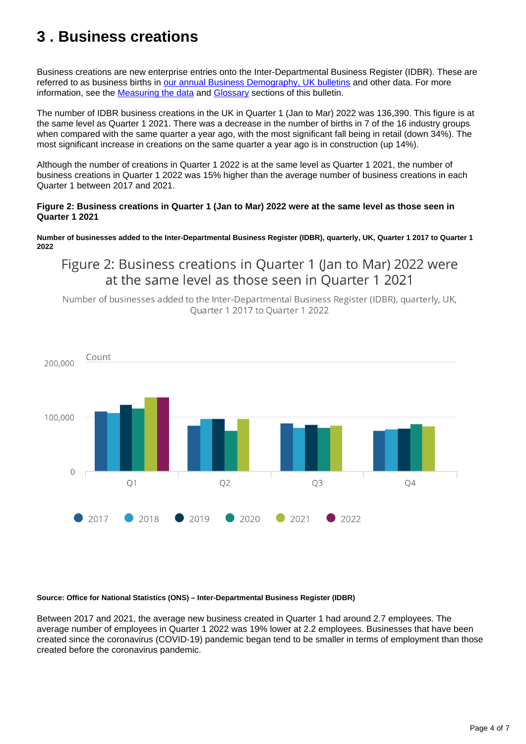## <span id="page-3-0"></span>**3 . Business creations**

Business creations are new enterprise entries onto the Inter-Departmental Business Register (IDBR). These are referred to as business births in [our annual Business Demography, UK bulletins](https://www.ons.gov.uk/businessindustryandtrade/business/activitysizeandlocation/bulletins/businessdemography/previousReleases) and other data. For more information, see the [Measuring the data](https://www.ons.gov.uk/businessindustryandtrade/business/activitysizeandlocation/bulletins/businessdemographyquarterlyexperimentalstatisticsuk/januarytomarch2022#measuring-the-data) and [Glossary](https://www.ons.gov.uk/businessindustryandtrade/business/activitysizeandlocation/bulletins/businessdemographyquarterlyexperimentalstatisticsuk/januarytomarch2022#glossary) sections of this bulletin.

The number of IDBR business creations in the UK in Quarter 1 (Jan to Mar) 2022 was 136,390. This figure is at the same level as Quarter 1 2021. There was a decrease in the number of births in 7 of the 16 industry groups when compared with the same quarter a year ago, with the most significant fall being in retail (down 34%). The most significant increase in creations on the same quarter a year ago is in construction (up 14%).

Although the number of creations in Quarter 1 2022 is at the same level as Quarter 1 2021, the number of business creations in Quarter 1 2022 was 15% higher than the average number of business creations in each Quarter 1 between 2017 and 2021.

#### **Figure 2: Business creations in Quarter 1 (Jan to Mar) 2022 were at the same level as those seen in Quarter 1 2021**

**Number of businesses added to the Inter-Departmental Business Register (IDBR), quarterly, UK, Quarter 1 2017 to Quarter 1 2022**

### Figure 2: Business creations in Quarter 1 (Jan to Mar) 2022 were at the same level as those seen in Quarter 1 2021

Number of businesses added to the Inter-Departmental Business Register (IDBR), quarterly, UK, Ouarter 1 2017 to Ouarter 1 2022



#### **Source: Office for National Statistics (ONS) – Inter-Departmental Business Register (IDBR)**

Between 2017 and 2021, the average new business created in Quarter 1 had around 2.7 employees. The average number of employees in Quarter 1 2022 was 19% lower at 2.2 employees. Businesses that have been created since the coronavirus (COVID-19) pandemic began tend to be smaller in terms of employment than those created before the coronavirus pandemic.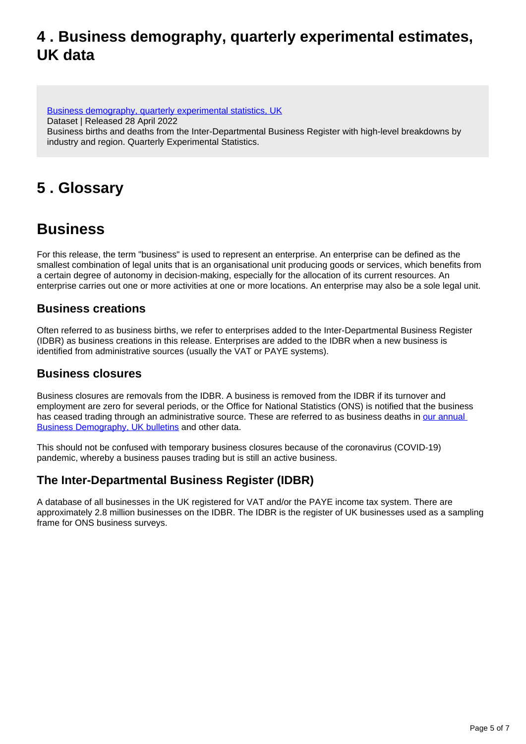### <span id="page-4-0"></span>**4 . Business demography, quarterly experimental estimates, UK data**

[Business demography, quarterly experimental statistics, UK](https://www.ons.gov.uk/businessindustryandtrade/business/activitysizeandlocation/datasets/businessdemographyquarterlyexperimentalstatisticsuk) Dataset | Released 28 April 2022 Business births and deaths from the Inter-Departmental Business Register with high-level breakdowns by industry and region. Quarterly Experimental Statistics.

## <span id="page-4-1"></span>**5 . Glossary**

### **Business**

For this release, the term "business" is used to represent an enterprise. An enterprise can be defined as the smallest combination of legal units that is an organisational unit producing goods or services, which benefits from a certain degree of autonomy in decision-making, especially for the allocation of its current resources. An enterprise carries out one or more activities at one or more locations. An enterprise may also be a sole legal unit.

#### **Business creations**

Often referred to as business births, we refer to enterprises added to the Inter-Departmental Business Register (IDBR) as business creations in this release. Enterprises are added to the IDBR when a new business is identified from administrative sources (usually the VAT or PAYE systems).

#### **Business closures**

Business closures are removals from the IDBR. A business is removed from the IDBR if its turnover and employment are zero for several periods, or the Office for National Statistics (ONS) is notified that the business has ceased trading through an administrative source. These are referred to as business deaths in our annual [Business Demography, UK bulletins](https://www.ons.gov.uk/businessindustryandtrade/business/activitysizeandlocation/bulletins/businessdemography/previousReleases) and other data.

This should not be confused with temporary business closures because of the coronavirus (COVID-19) pandemic, whereby a business pauses trading but is still an active business.

### **The Inter-Departmental Business Register (IDBR)**

A database of all businesses in the UK registered for VAT and/or the PAYE income tax system. There are approximately 2.8 million businesses on the IDBR. The IDBR is the register of UK businesses used as a sampling frame for ONS business surveys.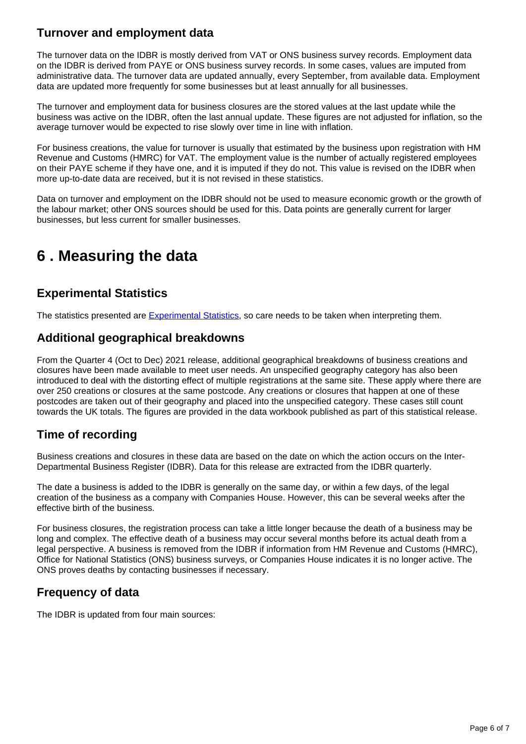### **Turnover and employment data**

The turnover data on the IDBR is mostly derived from VAT or ONS business survey records. Employment data on the IDBR is derived from PAYE or ONS business survey records. In some cases, values are imputed from administrative data. The turnover data are updated annually, every September, from available data. Employment data are updated more frequently for some businesses but at least annually for all businesses.

The turnover and employment data for business closures are the stored values at the last update while the business was active on the IDBR, often the last annual update. These figures are not adjusted for inflation, so the average turnover would be expected to rise slowly over time in line with inflation.

For business creations, the value for turnover is usually that estimated by the business upon registration with HM Revenue and Customs (HMRC) for VAT. The employment value is the number of actually registered employees on their PAYE scheme if they have one, and it is imputed if they do not. This value is revised on the IDBR when more up-to-date data are received, but it is not revised in these statistics.

Data on turnover and employment on the IDBR should not be used to measure economic growth or the growth of the labour market; other ONS sources should be used for this. Data points are generally current for larger businesses, but less current for smaller businesses.

### <span id="page-5-0"></span>**6 . Measuring the data**

### **Experimental Statistics**

The statistics presented are [Experimental Statistics](https://www.ons.gov.uk/methodology/methodologytopicsandstatisticalconcepts/guidetoexperimentalstatistics), so care needs to be taken when interpreting them.

#### **Additional geographical breakdowns**

From the Quarter 4 (Oct to Dec) 2021 release, additional geographical breakdowns of business creations and closures have been made available to meet user needs. An unspecified geography category has also been introduced to deal with the distorting effect of multiple registrations at the same site. These apply where there are over 250 creations or closures at the same postcode. Any creations or closures that happen at one of these postcodes are taken out of their geography and placed into the unspecified category. These cases still count towards the UK totals. The figures are provided in the data workbook published as part of this statistical release.

### **Time of recording**

Business creations and closures in these data are based on the date on which the action occurs on the Inter-Departmental Business Register (IDBR). Data for this release are extracted from the IDBR quarterly.

The date a business is added to the IDBR is generally on the same day, or within a few days, of the legal creation of the business as a company with Companies House. However, this can be several weeks after the effective birth of the business.

For business closures, the registration process can take a little longer because the death of a business may be long and complex. The effective death of a business may occur several months before its actual death from a legal perspective. A business is removed from the IDBR if information from HM Revenue and Customs (HMRC), Office for National Statistics (ONS) business surveys, or Companies House indicates it is no longer active. The ONS proves deaths by contacting businesses if necessary.

#### **Frequency of data**

The IDBR is updated from four main sources: